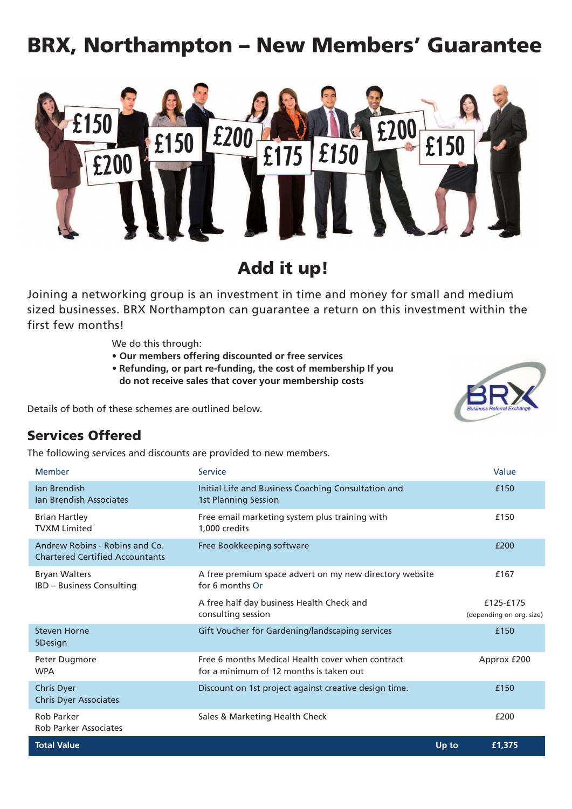# **BRX, Northampton – New Members' Guarantee**



**Add it up!**

Joining a networking group is an investment in time and money for small and medium sized businesses. BRX Northampton can guarantee a return on this investment within the first few months!

We do this through:

- **• Our members offering discounted or free services**
- **• Refunding, or part re-funding, the cost of membership If you do not receive sales that cover your membership costs**

Details of both of these schemes are outlined below.

#### **Services Offered**

The following services and discounts are provided to new members.

| Member                                                                   | Service                                                                                     |       | Value                                 |
|--------------------------------------------------------------------------|---------------------------------------------------------------------------------------------|-------|---------------------------------------|
| <b>Ian Brendish</b><br><b>Ian Brendish Associates</b>                    | Initial Life and Business Coaching Consultation and<br><b>1st Planning Session</b>          |       | £150                                  |
| <b>Brian Hartley</b><br><b>TVXM Limited</b>                              | Free email marketing system plus training with<br>1,000 credits                             |       | £150                                  |
| Andrew Robins - Robins and Co.<br><b>Chartered Certified Accountants</b> | Free Bookkeeping software                                                                   |       | £200                                  |
| <b>Bryan Walters</b><br><b>IBD - Business Consulting</b>                 | A free premium space advert on my new directory website<br>for 6 months Or                  |       | £167                                  |
|                                                                          | A free half day business Health Check and<br>consulting session                             |       | £125-£175<br>(depending on org. size) |
| <b>Steven Horne</b><br>5Design                                           | Gift Voucher for Gardening/landscaping services                                             |       | £150                                  |
| Peter Dugmore<br><b>WPA</b>                                              | Free 6 months Medical Health cover when contract<br>for a minimum of 12 months is taken out |       | Approx £200                           |
| <b>Chris Dyer</b><br><b>Chris Dyer Associates</b>                        | Discount on 1st project against creative design time.                                       |       | £150                                  |
| <b>Rob Parker</b><br><b>Rob Parker Associates</b>                        | Sales & Marketing Health Check                                                              |       | £200                                  |
| <b>Total Value</b>                                                       |                                                                                             | Up to | £1,375                                |